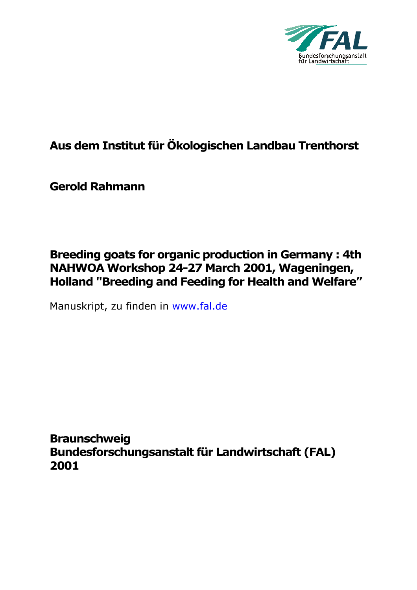

# **Aus dem Institut für Ökologischen Landbau Trenthorst**

**Gerold Rahmann** 

## **Breeding goats for organic production in Germany : 4th NAHWOA Workshop 24-27 March 2001, Wageningen, Holland "Breeding and Feeding for Health and Welfare"**

Manuskript, zu finden in www.fal.de

**Braunschweig Bundesforschungsanstalt für Landwirtschaft (FAL) 2001**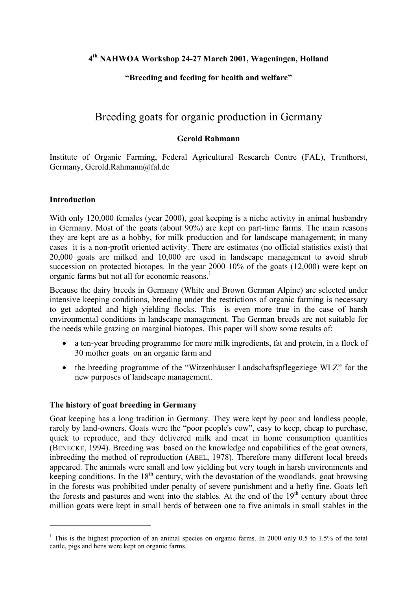## **4th NAHWOA Workshop 24-27 March 2001, Wageningen, Holland**

## **"Breeding and feeding for health and welfare"**

## Breeding goats for organic production in Germany

#### **Gerold Rahmann**

Institute of Organic Farming, Federal Agricultural Research Centre (FAL), Trenthorst, Germany, Gerold.Rahmann@fal.de

#### **Introduction**

1

With only 120,000 females (year 2000), goat keeping is a niche activity in animal husbandry in Germany. Most of the goats (about 90%) are kept on part-time farms. The main reasons they are kept are as a hobby, for milk production and for landscape management; in many cases it is a non-profit oriented activity. There are estimates (no official statistics exist) that 20,000 goats are milked and 10,000 are used in landscape management to avoid shrub succession on protected biotopes. In the year 2000 10% of the goats (12,000) were kept on organic farms but not all for economic reasons.<sup>1</sup>

Because the dairy breeds in Germany (White and Brown German Alpine) are selected under intensive keeping conditions, breeding under the restrictions of organic farming is necessary to get adopted and high yielding flocks. This is even more true in the case of harsh environmental conditions in landscape management. The German breeds are not suitable for the needs while grazing on marginal biotopes. This paper will show some results of:

- a ten-year breeding programme for more milk ingredients, fat and protein, in a flock of 30 mother goats on an organic farm and
- the breeding programme of the "Witzenhäuser Landschaftspflegeziege WLZ" for the new purposes of landscape management.

## **The history of goat breeding in Germany**

Goat keeping has a long tradition in Germany. They were kept by poor and landless people, rarely by land-owners. Goats were the "poor people's cow", easy to keep, cheap to purchase, quick to reproduce, and they delivered milk and meat in home consumption quantities (BENECKE, 1994). Breeding was based on the knowledge and capabilities of the goat owners, inbreeding the method of reproduction (ABEL, 1978). Therefore many different local breeds appeared. The animals were small and low yielding but very tough in harsh environments and keeping conditions. In the  $18<sup>th</sup>$  century, with the devastation of the woodlands, goat browsing in the forests was prohibited under penalty of severe punishment and a hefty fine. Goats left the forests and pastures and went into the stables. At the end of the  $19<sup>th</sup>$  century about three million goats were kept in small herds of between one to five animals in small stables in the

<span id="page-1-0"></span><sup>&</sup>lt;sup>1</sup> This is the highest proportion of an animal species on organic farms. In 2000 only 0.5 to 1.5% of the total cattle, pigs and hens were kept on organic farms.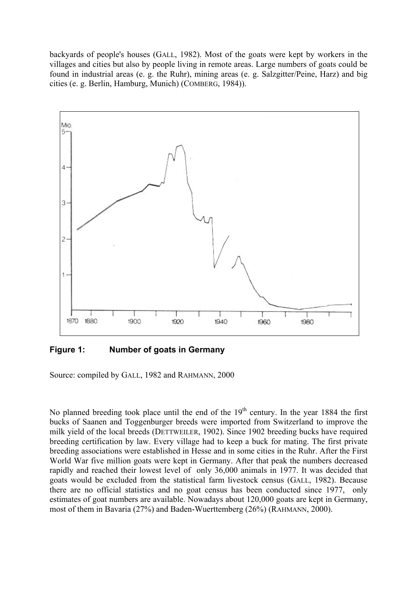backyards of people's houses (GALL, 1982). Most of the goats were kept by workers in the villages and cities but also by people living in remote areas. Large numbers of goats could be found in industrial areas (e. g. the Ruhr), mining areas (e. g. Salzgitter/Peine, Harz) and big cities (e. g. Berlin, Hamburg, Munich) (COMBERG, 1984)).



**Figure 1: Number of goats in Germany**

Source: compiled by GALL, 1982 and RAHMANN, 2000

No planned breeding took place until the end of the  $19<sup>th</sup>$  century. In the year 1884 the first bucks of Saanen and Toggenburger breeds were imported from Switzerland to improve the milk yield of the local breeds (DETTWEILER, 1902). Since 1902 breeding bucks have required breeding certification by law. Every village had to keep a buck for mating. The first private breeding associations were established in Hesse and in some cities in the Ruhr. After the First World War five million goats were kept in Germany. After that peak the numbers decreased rapidly and reached their lowest level of only 36,000 animals in 1977. It was decided that goats would be excluded from the statistical farm livestock census (GALL, 1982). Because there are no official statistics and no goat census has been conducted since 1977, only estimates of goat numbers are available. Nowadays about 120,000 goats are kept in Germany, most of them in Bavaria (27%) and Baden-Wuerttemberg (26%) (RAHMANN, 2000).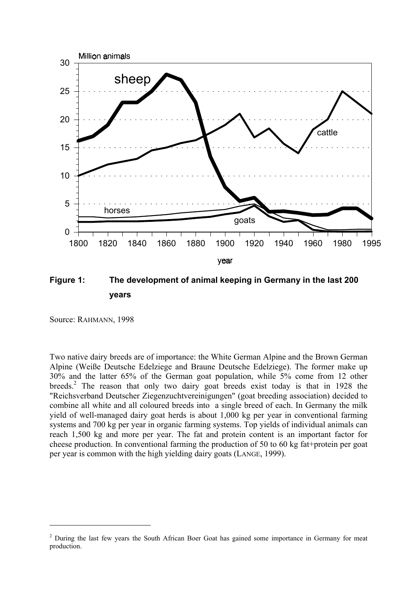

**Figure 1: The development of animal keeping in Germany in the last 200 years** 

Source: RAHMANN, 1998

1

Two native dairy breeds are of importance: the White German Alpine and the Brown German Alpine (Weiße Deutsche Edelziege and Braune Deutsche Edelziege). The former make up 30% and the latter 65% of the German goat population, while 5% come from 12 other breeds.<sup>2</sup> The reason that only two dairy goat breeds exist today is that in 1928 the "Reichsverband Deutscher Ziegenzuchtvereinigungen" (goat breeding association) decided to combine all white and all coloured breeds into a single breed of each. In Germany the milk yield of well-managed dairy goat herds is about 1,000 kg per year in conventional farming systems and 700 kg per year in organic farming systems. Top yields of individual animals can reach 1,500 kg and more per year. The fat and protein content is an important factor for cheese production. In conventional farming the production of 50 to 60 kg fat+protein per goat per year is common with the high yielding dairy goats (LANGE, 1999).

<span id="page-3-0"></span><sup>&</sup>lt;sup>2</sup> During the last few years the South African Boer Goat has gained some importance in Germany for meat production.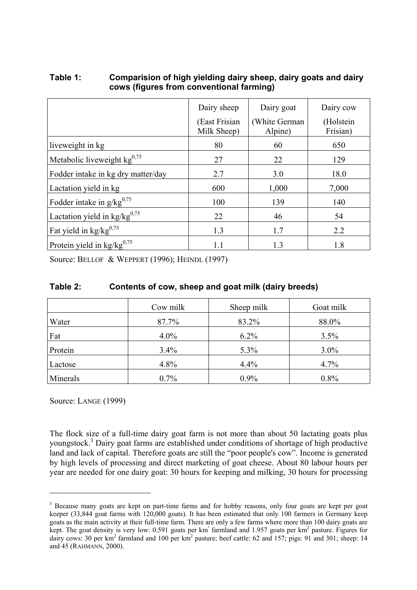## **Table 1: Comparision of high yielding dairy sheep, dairy goats and dairy cows (figures from conventional farming)**

|                                          | Dairy sheep                  | Dairy goat               | Dairy cow             |
|------------------------------------------|------------------------------|--------------------------|-----------------------|
|                                          | (East Frisian<br>Milk Sheep) | (White German<br>Alpine) | (Holstein<br>Frisian) |
| liveweight in kg                         | 80                           | 60                       | 650                   |
| Metabolic liveweight $kg^{0.75}$         | 27                           | 22                       | 129                   |
| Fodder intake in kg dry matter/day       | 2.7                          | 3.0                      | 18.0                  |
| Lactation yield in kg                    | 600                          | 1,000                    | 7,000                 |
| Fodder intake in $g/kg^{0.75}$           | 100                          | 139                      | 140                   |
| Lactation yield in $\text{kg/kg}^{0,75}$ | 22                           | 46                       | 54                    |
| Fat yield in $\text{kg/kg}^{0,75}$       | 1.3                          | 1.7                      | 2.2                   |
| Protein yield in $kg/kg^{0.75}$          | 1.1                          | 1.3                      | 1.8                   |

Source: BELLOF & WEPPERT (1996); HEINDL (1997)

## **Table 2: Contents of cow, sheep and goat milk (dairy breeds)**

|          | Cow milk | Sheep milk | Goat milk |
|----------|----------|------------|-----------|
| Water    | 87.7%    | 83.2%      | 88.0%     |
| Fat      | $4.0\%$  | $6.2\%$    | 3.5%      |
| Protein  | 3.4%     | 5.3%       | $3.0\%$   |
| Lactose  | 4.8%     | 4.4%       | 4.7%      |
| Minerals | $0.7\%$  | 0.9%       | 0.8%      |

Source: LANGE (1999)

1

The flock size of a full-time dairy goat farm is not more than about 50 lactating goats plus youngstock.<sup>3</sup> Dairy goat farms are established under conditions of shortage of high productive land and lack of capital. Therefore goats are still the "poor people's cow". Income is generated by high levels of processing and direct marketing of goat cheese. About 80 labour hours per year are needed for one dairy goat: 30 hours for keeping and milking, 30 hours for processing

<span id="page-4-0"></span><sup>&</sup>lt;sup>3</sup> Because many goats are kept on part-time farms and for hobby reasons, only four goats are kept per goat keeper (33,844 goat farms with 120,000 goats). It has been estimated that only 100 farmers in Germany keep goats as the main activity at their full-time farm. There are only a few farms where more than 100 dairy goats are kept. The goat density is very low: 0.591 goats per km<sup>2</sup> farmland and 1.957 goats per km<sup>2</sup> pasture. Figures for dairy cows: 30 per km<sup>2</sup> farmland and 100 per km<sup>2</sup> pasture; beef cattle: 62 and 157; pigs: 91 and 301; sheep: 14 and 45 (RAHMANN, 2000).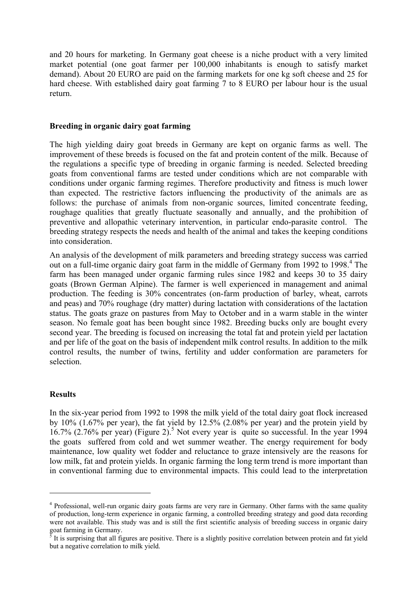and 20 hours for marketing. In Germany goat cheese is a niche product with a very limited market potential (one goat farmer per 100,000 inhabitants is enough to satisfy market demand). About 20 EURO are paid on the farming markets for one kg soft cheese and 25 for hard cheese. With established dairy goat farming 7 to 8 EURO per labour hour is the usual return.

#### **Breeding in organic dairy goat farming**

The high yielding dairy goat breeds in Germany are kept on organic farms as well. The improvement of these breeds is focused on the fat and protein content of the milk. Because of the regulations a specific type of breeding in organic farming is needed. Selected breeding goats from conventional farms are tested under conditions which are not comparable with conditions under organic farming regimes. Therefore productivity and fitness is much lower than expected. The restrictive factors influencing the productivity of the animals are as follows: the purchase of animals from non-organic sources, limited concentrate feeding, roughage qualities that greatly fluctuate seasonally and annually, and the prohibition of preventive and allopathic veterinary intervention, in particular endo-parasite control. The breeding strategy respects the needs and health of the animal and takes the keeping conditions into consideration.

An analysis of the development of milk parameters and breeding strategy success was carried out on a full-time organic dairy goat farm in the middle of Germany from 1992 to 1998.<sup>[4](#page-5-0)</sup> The farm has been managed under organic farming rules since 1982 and keeps 30 to 35 dairy goats (Brown German Alpine). The farmer is well experienced in management and animal production. The feeding is 30% concentrates (on-farm production of barley, wheat, carrots and peas) and 70% roughage (dry matter) during lactation with considerations of the lactation status. The goats graze on pastures from May to October and in a warm stable in the winter season. No female goat has been bought since 1982. Breeding bucks only are bought every second year. The breeding is focused on increasing the total fat and protein yield per lactation and per life of the goat on the basis of independent milk control results. In addition to the milk control results, the number of twins, fertility and udder conformation are parameters for selection.

#### **Results**

1

In the six-year period from 1992 to 1998 the milk yield of the total dairy goat flock increased by  $10\%$  (1.67% per year), the fat yield by  $12.5\%$  (2.08% per year) and the protein yield by  $16.7\%$  (2.76% per year) [\(Figure 2\)](#page-6-0).<sup>5</sup> Not every year is quite so successful. In the year 1994 the goats suffered from cold and wet summer weather. The energy requirement for body maintenance, low quality wet fodder and reluctance to graze intensively are the reasons for low milk, fat and protein yields. In organic farming the long term trend is more important than in conventional farming due to environmental impacts. This could lead to the interpretation

<span id="page-5-0"></span><sup>&</sup>lt;sup>4</sup> Professional, well-run organic dairy goats farms are very rare in Germany. Other farms with the same quality of production, long-term experience in organic farming, a controlled breeding strategy and good data recording were not available. This study was and is still the first scientific analysis of breeding success in organic dairy goat farming in Germany.

<span id="page-5-1"></span> $\frac{5}{5}$  It is surprising that all figures are positive. There is a slightly positive correlation between protein and fat yield but a negative correlation to milk yield.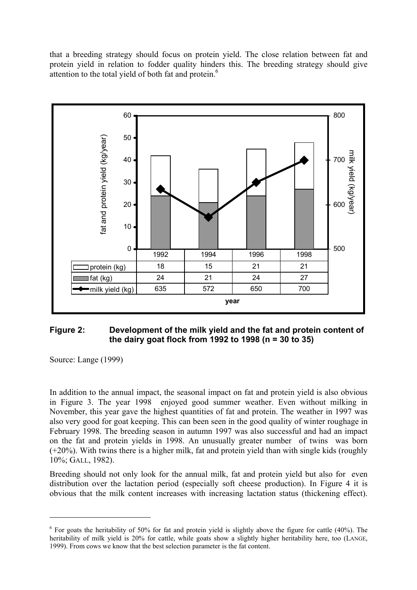that a breeding strategy should focus on protein yield. The close relation between fat and protein yield in relation to fodder quality hinders this. The breeding strategy should give attention to the total yield of both fat and protein.<sup>6</sup>

<span id="page-6-0"></span>

## **Figure 2: Development of the milk yield and the fat and protein content of the dairy goat flock from 1992 to 1998 (n = 30 to 35)**

Source: Lange (1999)

1

In addition to the annual impact, the seasonal impact on fat and protein yield is also obvious in [Figure 3.](#page-7-0) The year 1998 enjoyed good summer weather. Even without milking in November, this year gave the highest quantities of fat and protein. The weather in 1997 was also very good for goat keeping. This can been seen in the good quality of winter roughage in February 1998. The breeding season in autumn 1997 was also successful and had an impact on the fat and protein yields in 1998. An unusually greater number of twins was born (+20%). With twins there is a higher milk, fat and protein yield than with single kids (roughly 10%; GALL, 1982).

Breeding should not only look for the annual milk, fat and protein yield but also for even distribution over the lactation period (especially soft cheese production). In [Figure 4](#page-7-1) it is obvious that the milk content increases with increasing lactation status (thickening effect).

<span id="page-6-1"></span> $6$  For goats the heritability of 50% for fat and protein yield is slightly above the figure for cattle (40%). The heritability of milk yield is 20% for cattle, while goats show a slightly higher heritability here, too (LANGE, 1999). From cows we know that the best selection parameter is the fat content.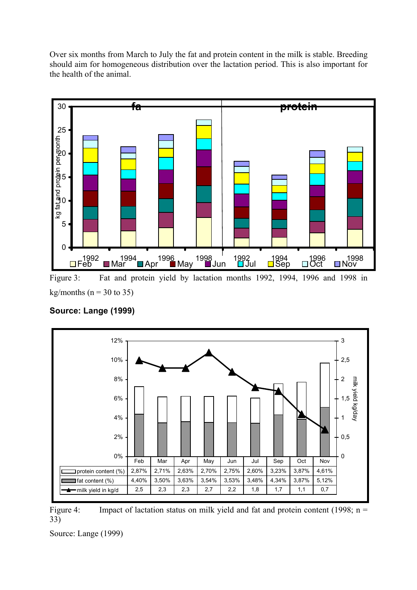Over six months from March to July the fat and protein content in the milk is stable. Breeding should aim for homogeneous distribution over the lactation period. This is also important for the health of the animal.

<span id="page-7-0"></span>

Figure 3: Fat and protein yield by lactation months 1992, 1994, 1996 and 1998 in kg/months ( $n = 30$  to 35)

<span id="page-7-1"></span>

## **Source: Lange (1999)**

Figure 4: Impact of lactation status on milk yield and fat and protein content (1998; n = 33)

Source: Lange (1999)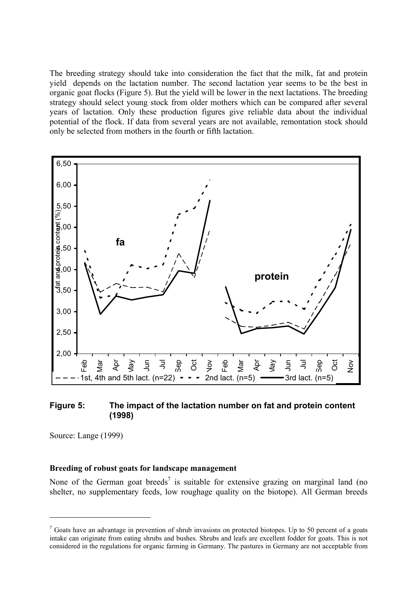<span id="page-8-1"></span>The breeding strategy should take into consideration the fact that the milk, fat and protein yield depends on the lactation number. The second lactation year seems to be the best in organic goat flocks [\(Figure 5\)](#page-8-0). But the yield will be lower in the next lactations. The breeding strategy should select young stock from older mothers which can be compared after several years of lactation. Only these production figures give reliable data about the individual potential of the flock. If data from several years are not available, remontation stock should only be selected from mothers in the fourth or fifth lactation.

<span id="page-8-0"></span>

#### **Figure 5: The impact of the lactation number on fat and protein content (1998)**

Source: Lange (1999)

1

#### **Breeding of robust goats for landscape management**

None of the German goat breeds<sup>7</sup> is suitable for extensive grazing on marginal land (no shelter, no supplementary feeds, low roughage quality on the biotope). All German breeds

 $<sup>7</sup>$  Goats have an advantage in prevention of shrub invasions on protected biotopes. Up to 50 percent of a goats</sup> intake can originate from eating shrubs and bushes. Shrubs and leafs are excellent fodder for goats. This is not considered in the regulations for organic farming in Germany. The pastures in Germany are not acceptable from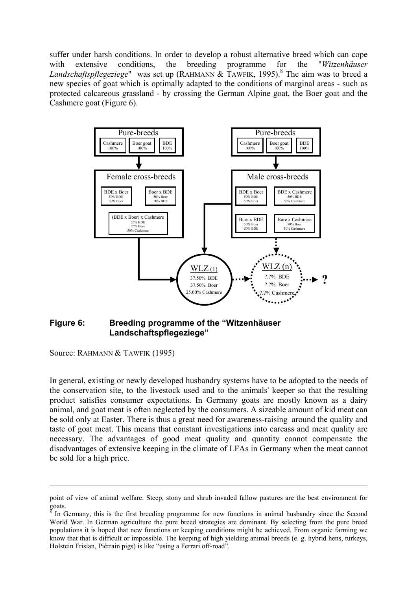suffer under harsh conditions. In order to develop a robust alternative breed which can cope with extensive conditions, the breeding programme for the "*Witzenhäuser* Landschaftspflegeziege" was set up (RAHMANN & TAWFIK, 1995).<sup>8</sup> The aim was to breed a new species of goat which is optimally adapted to the conditions of marginal areas - such as protected calcareous grassland - by crossing the German Alpine goat, the Boer goat and the Cashmere goat [\(Figure 6\)](#page-9-0).

<span id="page-9-0"></span>

## **Figure 6: Breeding programme of the "Witzenhäuser Landschaftspflegeziege"**

Source: RAHMANN & TAWFIK (1995)

<u>.</u>

In general, existing or newly developed husbandry systems have to be adopted to the needs of the conservation site, to the livestock used and to the animals' keeper so that the resulting product satisfies consumer expectations. In Germany goats are mostly known as a dairy animal, and goat meat is often neglected by the consumers. A sizeable amount of kid meat can be sold only at Easter. There is thus a great need for awareness-raising around the quality and taste of goat meat. This means that constant investigations into carcass and meat quality are necessary. The advantages of good meat quality and quantity cannot compensate the disadvantages of extensive keeping in the climate of LFAs in Germany when the meat cannot be sold for a high price.

point of view of animal welfare. Steep, stony and shrub invaded fallow pastures are the best environment for goats.

<span id="page-9-1"></span>In Germany, this is the first breeding programme for new functions in animal husbandry since the Second World War. In German agriculture the pure breed strategies are dominant. By selecting from the pure breed populations it is hoped that new functions or keeping conditions might be achieved. From organic farming we know that that is difficult or impossible. The keeping of high yielding animal breeds (e. g. hybrid hens, turkeys, Holstein Frisian, Piétrain pigs) is like "using a Ferrari off-road".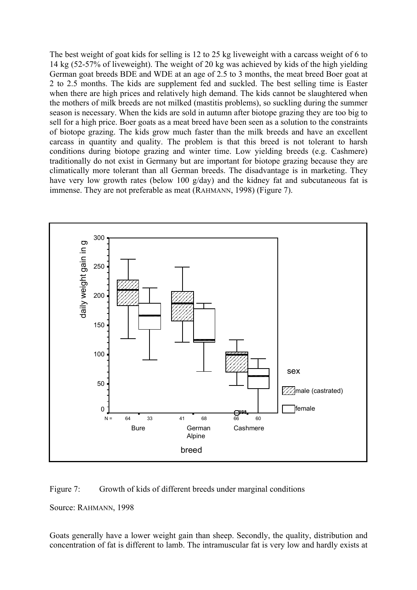The best weight of goat kids for selling is 12 to 25 kg liveweight with a carcass weight of 6 to 14 kg (52-57% of liveweight). The weight of 20 kg was achieved by kids of the high yielding German goat breeds BDE and WDE at an age of 2.5 to 3 months, the meat breed Boer goat at 2 to 2.5 months. The kids are supplement fed and suckled. The best selling time is Easter when there are high prices and relatively high demand. The kids cannot be slaughtered when the mothers of milk breeds are not milked (mastitis problems), so suckling during the summer season is necessary. When the kids are sold in autumn after biotope grazing they are too big to sell for a high price. Boer goats as a meat breed have been seen as a solution to the constraints of biotope grazing. The kids grow much faster than the milk breeds and have an excellent carcass in quantity and quality. The problem is that this breed is not tolerant to harsh conditions during biotope grazing and winter time. Low yielding breeds (e.g. Cashmere) traditionally do not exist in Germany but are important for biotope grazing because they are climatically more tolerant than all German breeds. The disadvantage is in marketing. They have very low growth rates (below 100 g/day) and the kidney fat and subcutaneous fat is immense. They are not preferable as meat (RAHMANN, 1998) [\(Figure 7\)](#page-10-0).



<span id="page-10-0"></span>Figure 7: Growth of kids of different breeds under marginal conditions

Source: RAHMANN, 1998

Goats generally have a lower weight gain than sheep. Secondly, the quality, distribution and concentration of fat is different to lamb. The intramuscular fat is very low and hardly exists at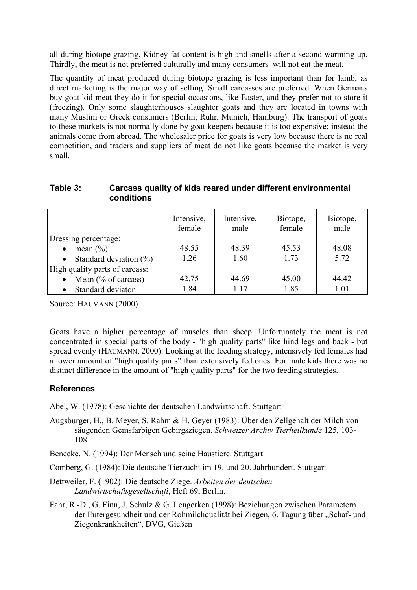all during biotope grazing. Kidney fat content is high and smells after a second warming up. Thirdly, the meat is not preferred culturally and many consumers will not eat the meat.

The quantity of meat produced during biotope grazing is less important than for lamb, as direct marketing is the major way of selling. Small carcasses are preferred. When Germans buy goat kid meat they do it for special occasions, like Easter, and they prefer not to store it (freezing). Only some slaughterhouses slaughter goats and they are located in towns with many Muslim or Greek consumers (Berlin, Ruhr, Munich, Hamburg). The transport of goats to these markets is not normally done by goat keepers because it is too expensive; instead the animals come from abroad. The wholesaler price for goats is very low because there is no real competition, and traders and suppliers of meat do not like goats because the market is very small.

## **Table 3: Carcass quality of kids reared under different environmental conditions**

|                                         | Intensive,<br>female | Intensive,<br>male | Biotope,<br>female | Biotope,<br>male |
|-----------------------------------------|----------------------|--------------------|--------------------|------------------|
| Dressing percentage:                    |                      |                    |                    |                  |
| mean $(\% )$<br>$\bullet$               | 48.55                | 48.39              | 45.53              | 48.08            |
| Standard deviation $(\% )$<br>$\bullet$ | 1.26                 | 1.60               | 1.73               | 5.72             |
| High quality parts of carcass:          |                      |                    |                    |                  |
| Mean $(\%$ of carcass)<br>$\bullet$     | 42.75                | 44.69              | 45.00              | 44.42            |
| Standard deviaton                       | 1.84                 | 117                | 1.85               | 101              |

Source: HAUMANN (2000)

Goats have a higher percentage of muscles than sheep. Unfortunately the meat is not concentrated in special parts of the body - "high quality parts" like hind legs and back - but spread evenly (HAUMANN, 2000). Looking at the feeding strategy, intensively fed females had a lower amount of "high quality parts" than extensively fed ones. For male kids there was no distinct difference in the amount of "high quality parts" for the two feeding strategies.

## **References**

Abel, W. (1978): Geschichte der deutschen Landwirtschaft. Stuttgart

Augsburger, H., B. Meyer, S. Rahm & H. Geyer (1983): Über den Zellgehalt der Milch von säugenden Gemsfarbigen Gebirgsziegen. *Schweizer Archiv Tierheilkunde* 125, 103- 108

Benecke, N. (1994): Der Mensch und seine Haustiere. Stuttgart

Comberg, G. (1984): Die deutsche Tierzucht im 19. und 20. Jahrhundert. Stuttgart

Dettweiler, F. (1902): Die deutsche Ziege. *Arbeiten der deutschen Landwirtschaftsgesellschaft*, Heft 69, Berlin.

Fahr, R.-D., G. Finn, J. Schulz & G. Lengerken (1998): Beziehungen zwischen Parametern der Eutergesundheit und der Rohmilchqualität bei Ziegen, 6. Tagung über "Schaf- und Ziegenkrankheiten", DVG, Gießen